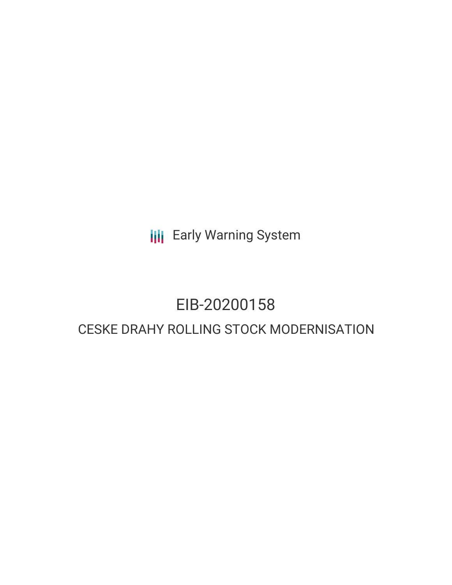**III** Early Warning System

# EIB-20200158

## CESKE DRAHY ROLLING STOCK MODERNISATION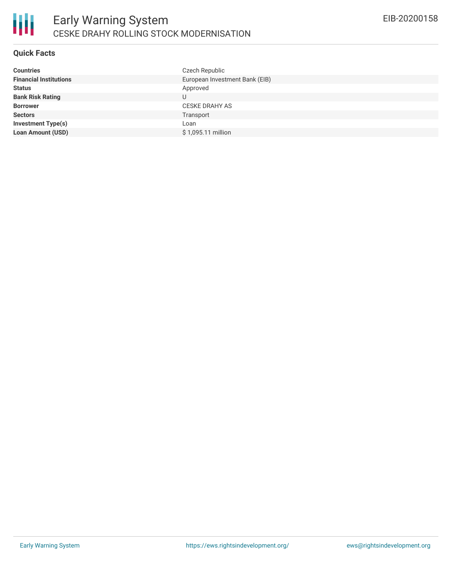#### **Quick Facts**

| Czech Republic                 |
|--------------------------------|
| European Investment Bank (EIB) |
| Approved                       |
|                                |
| <b>CESKE DRAHY AS</b>          |
| Transport                      |
| Loan                           |
| \$1,095.11 million             |
|                                |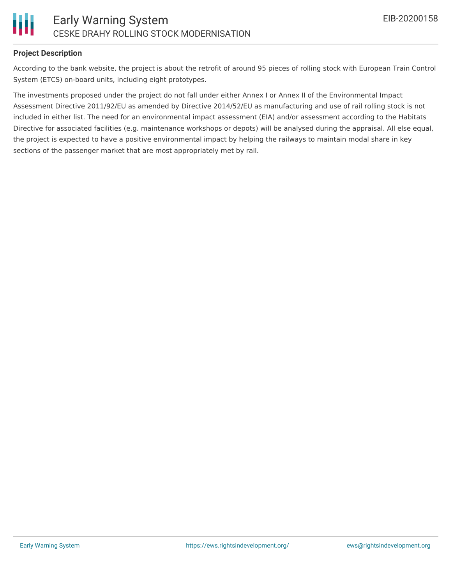

#### **Project Description**

According to the bank website, the project is about the retrofit of around 95 pieces of rolling stock with European Train Control System (ETCS) on-board units, including eight prototypes.

The investments proposed under the project do not fall under either Annex I or Annex II of the Environmental Impact Assessment Directive 2011/92/EU as amended by Directive 2014/52/EU as manufacturing and use of rail rolling stock is not included in either list. The need for an environmental impact assessment (EIA) and/or assessment according to the Habitats Directive for associated facilities (e.g. maintenance workshops or depots) will be analysed during the appraisal. All else equal, the project is expected to have a positive environmental impact by helping the railways to maintain modal share in key sections of the passenger market that are most appropriately met by rail.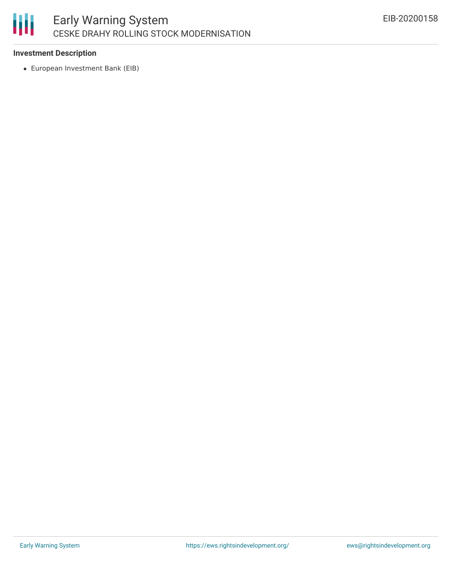

#### **Investment Description**

European Investment Bank (EIB)